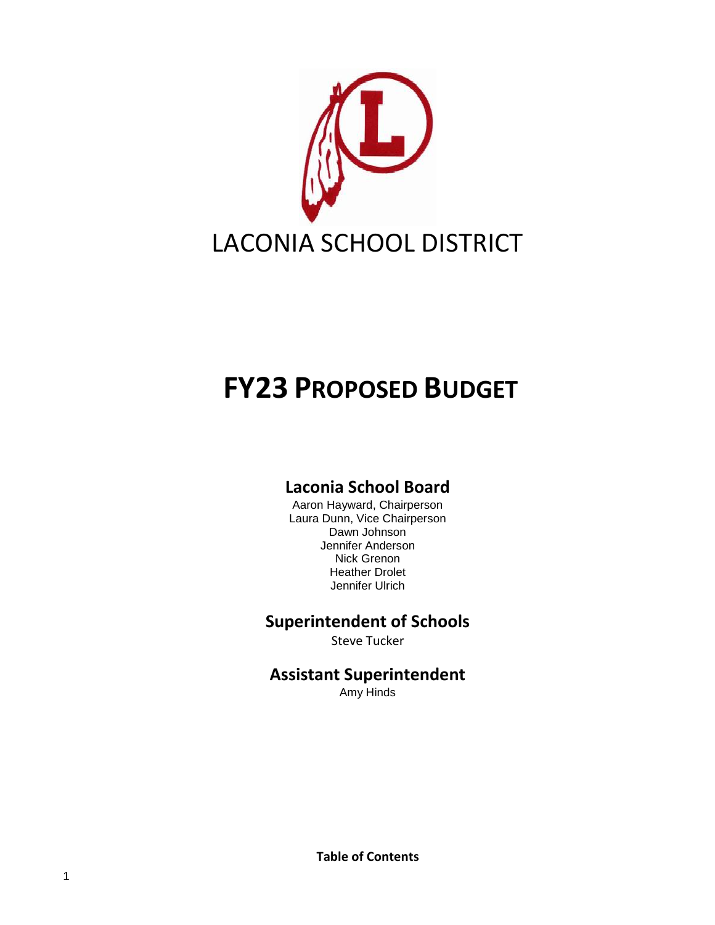

# **FY23 PROPOSED BUDGET**

# **Laconia School Board**

Aaron Hayward, Chairperson Laura Dunn, Vice Chairperson Dawn Johnson Jennifer Anderson Nick Grenon Heather Drolet Jennifer Ulrich

## **Superintendent of Schools**

Steve Tucker

**Assistant Superintendent**

Amy Hinds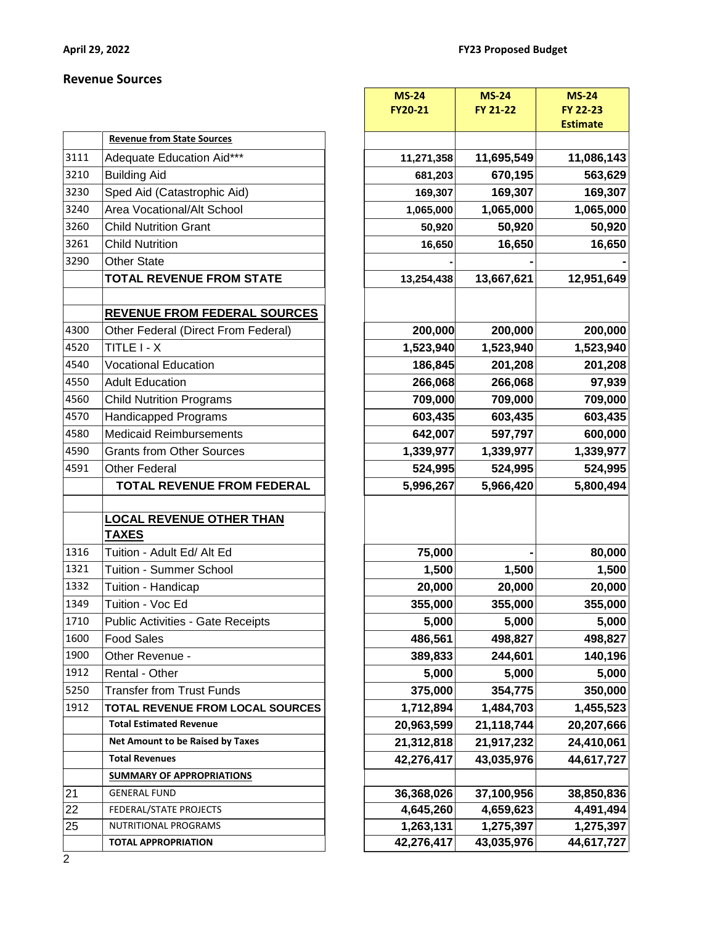#### **Revenue Sources**

|      |                                          |            |            | <b>Estimate</b> |
|------|------------------------------------------|------------|------------|-----------------|
|      | <b>Revenue from State Sources</b>        |            |            |                 |
| 3111 | Adequate Education Aid***                | 11,271,358 | 11,695,549 | 11,086,143      |
| 3210 | <b>Building Aid</b>                      | 681,203    | 670,195    | 563,629         |
| 3230 | Sped Aid (Catastrophic Aid)              | 169,307    | 169,307    | 169,307         |
| 3240 | Area Vocational/Alt School               | 1,065,000  | 1,065,000  | 1,065,000       |
| 3260 | <b>Child Nutrition Grant</b>             | 50,920     | 50,920     | 50,920          |
| 3261 | <b>Child Nutrition</b>                   | 16,650     | 16,650     | 16,650          |
| 3290 | <b>Other State</b>                       |            |            |                 |
|      | <b>TOTAL REVENUE FROM STATE</b>          | 13,254,438 | 13,667,621 | 12,951,649      |
|      | <b>REVENUE FROM FEDERAL SOURCES</b>      |            |            |                 |
| 4300 | Other Federal (Direct From Federal)      | 200,000    | 200,000    | 200,000         |
| 4520 | TITLE I - X                              | 1,523,940  | 1,523,940  | 1,523,940       |
| 4540 | <b>Vocational Education</b>              | 186,845    | 201,208    | 201,208         |
| 4550 | <b>Adult Education</b>                   | 266,068    | 266,068    | 97,939          |
| 4560 | <b>Child Nutrition Programs</b>          | 709,000    | 709,000    | 709,000         |
| 4570 | Handicapped Programs                     | 603,435    | 603,435    | 603,435         |
| 4580 | <b>Medicaid Reimbursements</b>           | 642,007    | 597,797    | 600,000         |
| 4590 | <b>Grants from Other Sources</b>         | 1,339,977  | 1,339,977  | 1,339,977       |
| 4591 | <b>Other Federal</b>                     | 524,995    | 524,995    | 524,995         |
|      | <b>TOTAL REVENUE FROM FEDERAL</b>        | 5,996,267  | 5,966,420  | 5,800,494       |
|      |                                          |            |            |                 |
|      | <b>LOCAL REVENUE OTHER THAN</b>          |            |            |                 |
|      | <b>TAXES</b>                             |            |            |                 |
| 1316 | Tuition - Adult Ed/ Alt Ed               | 75,000     |            | 80,000          |
| 1321 | Tuition - Summer School                  | 1,500      | 1,500      | 1,500           |
| 1332 | Tuition - Handicap                       | 20,000     | 20,000     | 20,000          |
| 1349 | Tuition - Voc Ed                         | 355,000    | 355,000    | 355,000         |
| 1710 | <b>Public Activities - Gate Receipts</b> | 5,000      | 5,000      | 5,000           |
| 1600 | <b>Food Sales</b>                        | 486,561    | 498,827    | 498,827         |
| 1900 | Other Revenue -                          | 389,833    | 244,601    | 140,196         |
| 1912 | Rental - Other                           | 5,000      | 5,000      | 5,000           |
| 5250 | <b>Transfer from Trust Funds</b>         | 375,000    | 354,775    | 350,000         |
| 1912 | TOTAL REVENUE FROM LOCAL SOURCES         | 1,712,894  | 1,484,703  | 1,455,523       |
|      | <b>Total Estimated Revenue</b>           | 20,963,599 | 21,118,744 | 20,207,666      |
|      | Net Amount to be Raised by Taxes         | 21,312,818 | 21,917,232 | 24,410,061      |
|      | <b>Total Revenues</b>                    | 42,276,417 | 43,035,976 | 44,617,727      |
|      | <b>SUMMARY OF APPROPRIATIONS</b>         |            |            |                 |
| 21   | <b>GENERAL FUND</b>                      | 36,368,026 | 37,100,956 | 38,850,836      |
| 22   | FEDERAL/STATE PROJECTS                   | 4,645,260  | 4,659,623  | 4,491,494       |
| 25   | NUTRITIONAL PROGRAMS                     | 1,263,131  | 1,275,397  | 1,275,397       |
|      | <b>TOTAL APPROPRIATION</b>               | 42,276,417 | 43,035,976 | 44,617,727      |

|                 |                                                 | <b>MS-24</b> |            | <b>MS-24</b> | <b>MS-24</b>                |
|-----------------|-------------------------------------------------|--------------|------------|--------------|-----------------------------|
|                 |                                                 | FY20-21      |            | FY 21-22     | FY 22-23<br><b>Estimate</b> |
|                 | <b>Revenue from State Sources</b>               |              |            |              |                             |
| 3111            | Adequate Education Aid***                       |              | 11,271,358 | 11,695,549   | 11,086,143                  |
| 3210            | <b>Building Aid</b>                             |              | 681,203    | 670,195      | 563,629                     |
| 3230            | Sped Aid (Catastrophic Aid)                     |              | 169,307    | 169,307      | 169,307                     |
| 3240            | Area Vocational/Alt School                      |              | 1,065,000  | 1,065,000    | 1,065,000                   |
| 3260            | <b>Child Nutrition Grant</b>                    |              | 50,920     | 50,920       | 50,920                      |
| 3261            | <b>Child Nutrition</b>                          |              | 16,650     | 16,650       | 16,650                      |
| 3290            | <b>Other State</b>                              |              |            |              |                             |
|                 | <b>TOTAL REVENUE FROM STATE</b>                 |              | 13,254,438 | 13,667,621   | 12,951,649                  |
|                 |                                                 |              |            |              |                             |
|                 | <b>REVENUE FROM FEDERAL SOURCES</b>             |              |            |              |                             |
| 4300            | Other Federal (Direct From Federal)             |              | 200,000    | 200,000      | 200,000                     |
| 4520            | TITLE I - X                                     |              | 1,523,940  | 1,523,940    | 1,523,940                   |
| 4540            | <b>Vocational Education</b>                     |              | 186,845    | 201,208      | 201,208                     |
| 4550            | <b>Adult Education</b>                          |              | 266,068    | 266,068      | 97,939                      |
| 4560            | <b>Child Nutrition Programs</b>                 |              | 709,000    | 709,000      | 709,000                     |
| 4570            | <b>Handicapped Programs</b>                     |              | 603,435    | 603,435      | 603,435                     |
| 4580            | <b>Medicaid Reimbursements</b>                  |              | 642,007    | 597,797      | 600,000                     |
| 4590            | <b>Grants from Other Sources</b>                |              | 1,339,977  | 1,339,977    | 1,339,977                   |
| 4591            | Other Federal                                   |              | 524,995    | 524,995      | 524,995                     |
|                 | <b>TOTAL REVENUE FROM FEDERAL</b>               |              | 5,996,267  | 5,966,420    | 5,800,494                   |
|                 |                                                 |              |            |              |                             |
|                 | <b>LOCAL REVENUE OTHER THAN</b><br><b>TAXES</b> |              |            |              |                             |
| 1316            | Tuition - Adult Ed/ Alt Ed                      |              | 75,000     |              | 80,000                      |
| 1321            | Tuition - Summer School                         |              | 1,500      | 1,500        | 1,500                       |
| 1332            | Tuition - Handicap                              |              | 20,000     | 20,000       | 20,000                      |
| 1349            | Tuition - Voc Ed                                |              | 355,000    | 355,000      | 355,000                     |
| 1710            | <b>Public Activities - Gate Receipts</b>        |              | 5,000      | 5,000        | 5,000                       |
| 1600            | <b>Food Sales</b>                               |              | 486,561    | 498,827      | 498,827                     |
| 1900            | Other Revenue -                                 |              | 389,833    | 244,601      | 140,196                     |
| 1912            | Rental - Other                                  |              | 5,000      | 5,000        | 5,000                       |
| 5250            | <b>Transfer from Trust Funds</b>                |              | 375,000    | 354,775      | 350,000                     |
| 1912            | TOTAL REVENUE FROM LOCAL SOURCES                |              | 1,712,894  | 1,484,703    | 1,455,523                   |
|                 | <b>Total Estimated Revenue</b>                  |              | 20,963,599 | 21,118,744   | 20,207,666                  |
|                 | Net Amount to be Raised by Taxes                |              | 21,312,818 | 21,917,232   | 24,410,061                  |
|                 | <b>Total Revenues</b>                           |              | 42,276,417 | 43,035,976   | 44,617,727                  |
|                 | <b>SUMMARY OF APPROPRIATIONS</b>                |              |            |              |                             |
| 21              | <b>GENERAL FUND</b>                             |              | 36,368,026 | 37,100,956   | 38,850,836                  |
| $\overline{22}$ | FEDERAL/STATE PROJECTS                          |              | 4,645,260  | 4,659,623    | 4,491,494                   |
| 25              | NUTRITIONAL PROGRAMS                            |              | 1,263,131  | 1,275,397    | 1,275,397                   |
|                 | <b>TOTAL APPROPRIATION</b>                      |              | 42,276,417 | 43,035,976   | 44,617,727                  |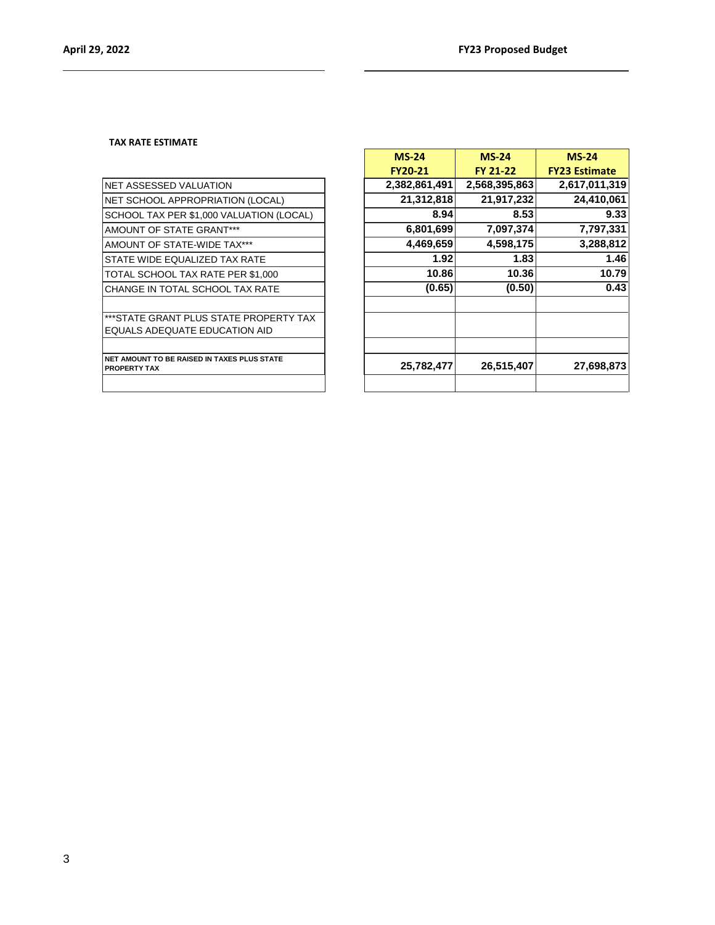#### **TAX RATE ESTIMATE**

| NET ASSESSED VALUATION                                             |
|--------------------------------------------------------------------|
| NET SCHOOL APPROPRIATION (LOCAL)                                   |
| SCHOOL TAX PER \$1,000 VALUATION (LOCAL)                           |
| AMOUNT OF STATE GRANT***                                           |
| AMOUNT OF STATE-WIDE TAX***                                        |
| STATE WIDE EQUALIZED TAX RATE                                      |
| TOTAL SCHOOL TAX RATE PER \$1,000                                  |
| CHANGE IN TOTAL SCHOOL TAX RATE                                    |
|                                                                    |
| *** STATE GRANT PLUS STATE PROPERTY TAX                            |
| EQUALS ADEQUATE EDUCATION AID                                      |
|                                                                    |
| NET AMOUNT TO BE RAISED IN TAXES PLUS STATE<br><b>PROPERTY TAX</b> |

|                                                                         | $MS-24$        | $MS-24$       | $MS-24$              |
|-------------------------------------------------------------------------|----------------|---------------|----------------------|
|                                                                         | <b>FY20-21</b> | FY 21-22      | <b>FY23 Estimate</b> |
| NET ASSESSED VALUATION                                                  | 2,382,861,491  | 2,568,395,863 | 2,617,011,319        |
| NET SCHOOL APPROPRIATION (LOCAL)                                        | 21,312,818     | 21,917,232    | 24,410,061           |
| SCHOOL TAX PER \$1,000 VALUATION (LOCAL)                                | 8.94           | 8.53          | 9.33                 |
| <b>AMOUNT OF STATE GRANT***</b>                                         | 6,801,699      | 7,097,374     | 7,797,331            |
| AMOUNT OF STATE-WIDE TAX***                                             | 4,469,659      | 4,598,175     | 3,288,812            |
| STATE WIDE EQUALIZED TAX RATE                                           | 1.92           | 1.83          | 1.46                 |
| TOTAL SCHOOL TAX RATE PER \$1,000                                       | 10.86          | 10.36         | 10.79                |
| CHANGE IN TOTAL SCHOOL TAX RATE                                         | (0.65)         | (0.50)        | 0.43                 |
| ***STATE GRANT PLUS STATE PROPERTY TAX<br>EQUALS ADEQUATE EDUCATION AID |                |               |                      |
| NET AMOUNT TO BE RAISED IN TAXES PLUS STATE<br><b>PROPERTY TAX</b>      | 25,782,477     | 26,515,407    | 27,698,873           |
|                                                                         |                |               |                      |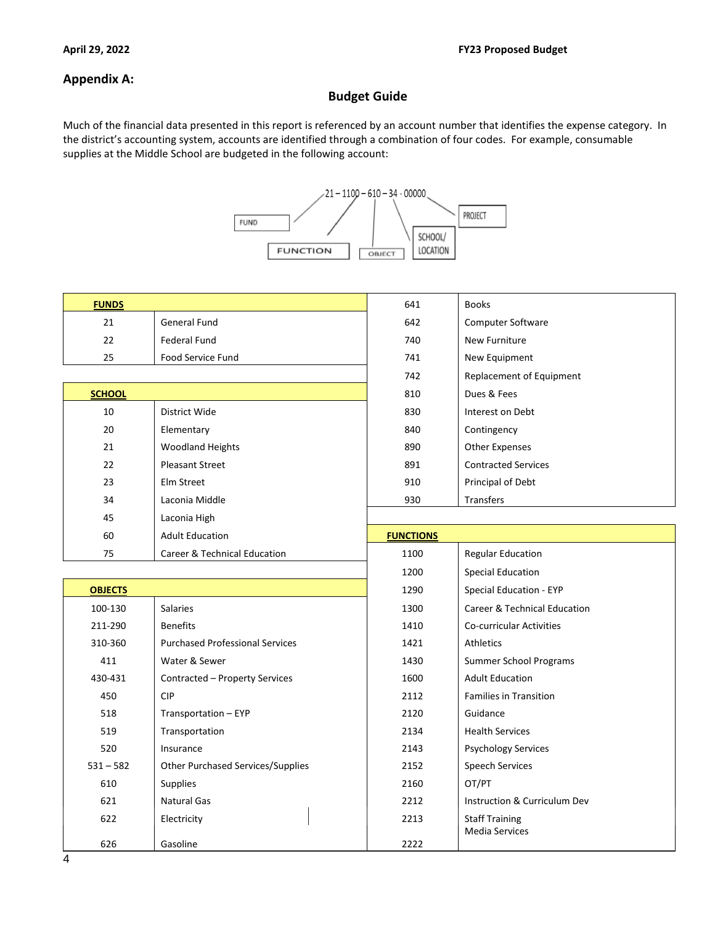#### **Appendix A:**

#### **Budget Guide**

Much of the financial data presented in this report is referenced by an account number that identifies the expense category. In the district's accounting system, accounts are identified through a combination of four codes. For example, consumable supplies at the Middle School are budgeted in the following account:



| <b>FUNDS</b>   |                                          | 641              | <b>Books</b>                                   |
|----------------|------------------------------------------|------------------|------------------------------------------------|
| 21             | <b>General Fund</b>                      | 642              | Computer Software                              |
| 22             | <b>Federal Fund</b>                      | 740              | <b>New Furniture</b>                           |
| 25             | Food Service Fund                        | 741              | New Equipment                                  |
|                |                                          | 742              | Replacement of Equipment                       |
| <b>SCHOOL</b>  |                                          | 810              | Dues & Fees                                    |
| 10             | District Wide                            | 830              | Interest on Debt                               |
| 20             | Elementary                               | 840              | Contingency                                    |
| 21             | <b>Woodland Heights</b>                  | 890              | <b>Other Expenses</b>                          |
| 22             | <b>Pleasant Street</b>                   | 891              | <b>Contracted Services</b>                     |
| 23             | Elm Street                               | 910              | Principal of Debt                              |
| 34             | Laconia Middle                           | 930              | Transfers                                      |
| 45             | Laconia High                             |                  |                                                |
| 60             | <b>Adult Education</b>                   | <b>FUNCTIONS</b> |                                                |
| 75             | Career & Technical Education             | 1100             | <b>Regular Education</b>                       |
|                |                                          | 1200             | <b>Special Education</b>                       |
| <b>OBJECTS</b> |                                          | 1290             | Special Education - EYP                        |
| 100-130        | <b>Salaries</b>                          | 1300             | Career & Technical Education                   |
| 211-290        | <b>Benefits</b>                          | 1410             | <b>Co-curricular Activities</b>                |
| 310-360        | <b>Purchased Professional Services</b>   | 1421             | Athletics                                      |
| 411            | Water & Sewer                            | 1430             | Summer School Programs                         |
| 430-431        | Contracted - Property Services           | 1600             | <b>Adult Education</b>                         |
| 450            | <b>CIP</b>                               | 2112             | <b>Families in Transition</b>                  |
| 518            | Transportation - EYP                     | 2120             | Guidance                                       |
| 519            | Transportation                           | 2134             | <b>Health Services</b>                         |
| 520            | Insurance                                | 2143             | <b>Psychology Services</b>                     |
| $531 - 582$    | <b>Other Purchased Services/Supplies</b> | 2152             | <b>Speech Services</b>                         |
| 610            | Supplies                                 | 2160             | OT/PT                                          |
| 621            | <b>Natural Gas</b>                       | 2212             | Instruction & Curriculum Dev                   |
| 622            | Electricity                              | 2213             | <b>Staff Training</b><br><b>Media Services</b> |
| 626            | Gasoline                                 | 2222             |                                                |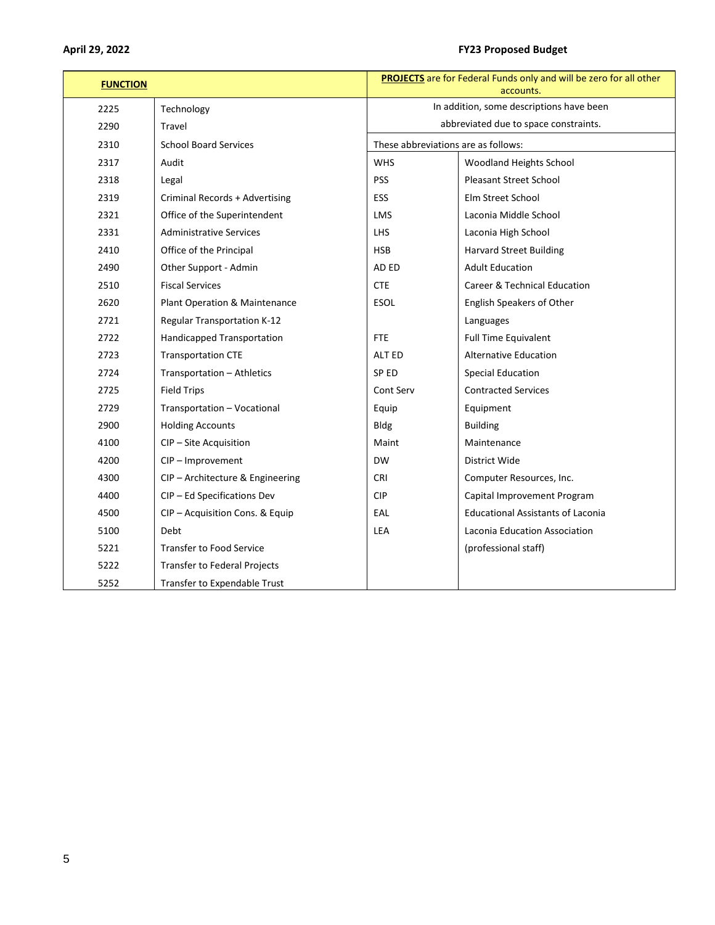#### **April 29, 2022 FY23 Proposed Budget**

| <b>FUNCTION</b> |                                     | <b>PROJECTS</b> are for Federal Funds only and will be zero for all other<br>accounts. |                                          |  |
|-----------------|-------------------------------------|----------------------------------------------------------------------------------------|------------------------------------------|--|
| 2225            | Technology                          | In addition, some descriptions have been                                               |                                          |  |
| 2290            | Travel                              |                                                                                        | abbreviated due to space constraints.    |  |
| 2310            | <b>School Board Services</b>        | These abbreviations are as follows:                                                    |                                          |  |
| 2317            | Audit                               | <b>WHS</b>                                                                             | Woodland Heights School                  |  |
| 2318            | Legal                               | <b>PSS</b>                                                                             | <b>Pleasant Street School</b>            |  |
| 2319            | Criminal Records + Advertising      | <b>ESS</b>                                                                             | Elm Street School                        |  |
| 2321            | Office of the Superintendent        | <b>LMS</b>                                                                             | Laconia Middle School                    |  |
| 2331            | <b>Administrative Services</b>      | <b>LHS</b>                                                                             | Laconia High School                      |  |
| 2410            | Office of the Principal             | <b>HSB</b>                                                                             | <b>Harvard Street Building</b>           |  |
| 2490            | Other Support - Admin               | AD ED                                                                                  | <b>Adult Education</b>                   |  |
| 2510            | <b>Fiscal Services</b>              | <b>CTE</b>                                                                             | Career & Technical Education             |  |
| 2620            | Plant Operation & Maintenance       | <b>ESOL</b>                                                                            | English Speakers of Other                |  |
| 2721            | <b>Regular Transportation K-12</b>  |                                                                                        | Languages                                |  |
| 2722            | Handicapped Transportation          | FTE                                                                                    | <b>Full Time Equivalent</b>              |  |
| 2723            | <b>Transportation CTE</b>           | ALT ED                                                                                 | <b>Alternative Education</b>             |  |
| 2724            | Transportation - Athletics          | SP ED                                                                                  | <b>Special Education</b>                 |  |
| 2725            | <b>Field Trips</b>                  | Cont Serv                                                                              | <b>Contracted Services</b>               |  |
| 2729            | Transportation - Vocational         | Equip                                                                                  | Equipment                                |  |
| 2900            | <b>Holding Accounts</b>             | <b>Bldg</b>                                                                            | <b>Building</b>                          |  |
| 4100            | CIP - Site Acquisition              | Maint                                                                                  | Maintenance                              |  |
| 4200            | CIP - Improvement                   | <b>DW</b>                                                                              | District Wide                            |  |
| 4300            | CIP - Architecture & Engineering    | <b>CRI</b>                                                                             | Computer Resources, Inc.                 |  |
| 4400            | CIP - Ed Specifications Dev         | <b>CIP</b>                                                                             | Capital Improvement Program              |  |
| 4500            | CIP - Acquisition Cons. & Equip     | EAL                                                                                    | <b>Educational Assistants of Laconia</b> |  |
| 5100            | Debt                                | LEA                                                                                    | Laconia Education Association            |  |
| 5221            | Transfer to Food Service            |                                                                                        | (professional staff)                     |  |
| 5222            | <b>Transfer to Federal Projects</b> |                                                                                        |                                          |  |
| 5252            | Transfer to Expendable Trust        |                                                                                        |                                          |  |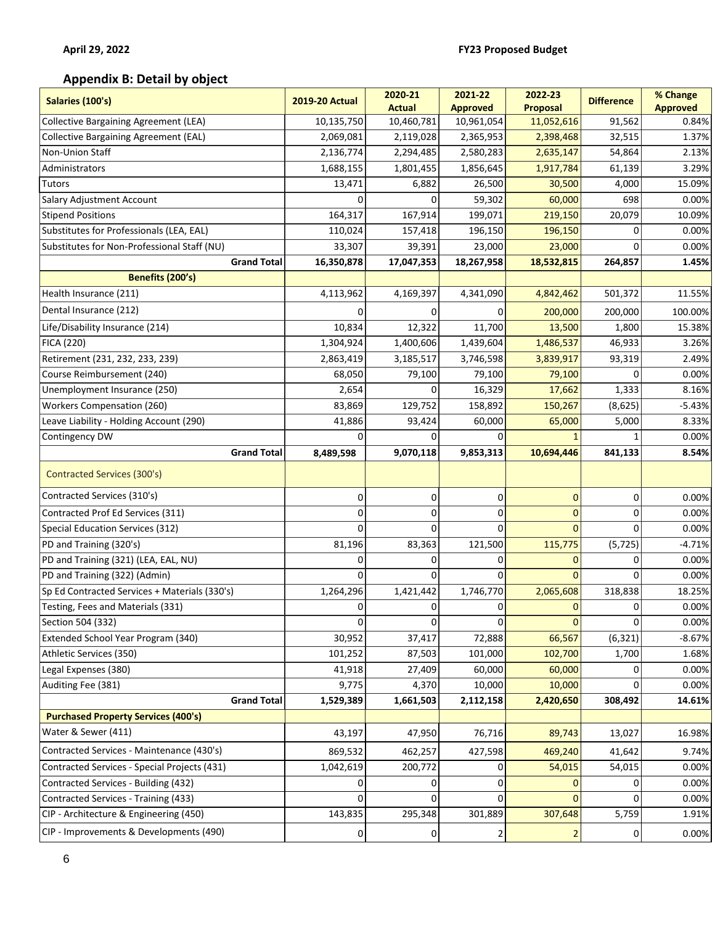### **Appendix B: Detail by object**

| Salaries (100's)                              | <b>2019-20 Actual</b> | 2020-21<br><b>Actual</b> | 2021-22<br><b>Approved</b> | 2022-23<br><b>Proposal</b> | <b>Difference</b> | % Change<br><b>Approved</b> |
|-----------------------------------------------|-----------------------|--------------------------|----------------------------|----------------------------|-------------------|-----------------------------|
| <b>Collective Bargaining Agreement (LEA)</b>  | 10,135,750            | 10,460,781               | 10,961,054                 | 11,052,616                 | 91,562            | 0.84%                       |
| <b>Collective Bargaining Agreement (EAL)</b>  | 2,069,081             | 2,119,028                | 2,365,953                  | 2,398,468                  | 32,515            | 1.37%                       |
| Non-Union Staff                               | 2,136,774             | 2,294,485                | 2,580,283                  | 2,635,147                  | 54,864            | 2.13%                       |
| Administrators                                | 1,688,155             | 1,801,455                | 1,856,645                  | 1,917,784                  | 61,139            | 3.29%                       |
| <b>Tutors</b>                                 | 13,471                | 6,882                    | 26,500                     | 30,500                     | 4,000             | 15.09%                      |
| Salary Adjustment Account                     |                       | U                        | 59,302                     | 60,000                     | 698               | 0.00%                       |
| <b>Stipend Positions</b>                      | 164,317               | 167,914                  | 199,071                    | 219,150                    | 20,079            | 10.09%                      |
| Substitutes for Professionals (LEA, EAL)      | 110,024               | 157,418                  | 196,150                    | 196,150                    | 0                 | 0.00%                       |
| Substitutes for Non-Professional Staff (NU)   | 33,307                | 39,391                   | 23,000                     | 23,000                     |                   | 0.00%                       |
| <b>Grand Total</b>                            | 16,350,878            | 17,047,353               | 18,267,958                 | 18,532,815                 | 264,857           | 1.45%                       |
| Benefits (200's)                              |                       |                          |                            |                            |                   |                             |
| Health Insurance (211)                        | 4,113,962             | 4,169,397                | 4,341,090                  | 4,842,462                  | 501,372           | 11.55%                      |
| Dental Insurance (212)                        | O                     | 0                        | 0                          | 200,000                    | 200,000           | 100.00%                     |
| Life/Disability Insurance (214)               | 10,834                | 12,322                   | 11,700                     | 13,500                     | 1,800             | 15.38%                      |
| <b>FICA (220)</b>                             | 1,304,924             | 1,400,606                | 1,439,604                  | 1,486,537                  | 46,933            | 3.26%                       |
| Retirement (231, 232, 233, 239)               | 2,863,419             | 3,185,517                | 3,746,598                  | 3,839,917                  | 93,319            | 2.49%                       |
| Course Reimbursement (240)                    | 68,050                | 79,100                   | 79,100                     | 79,100                     | 0                 | 0.00%                       |
| Unemployment Insurance (250)                  | 2,654                 | 0                        | 16,329                     | 17,662                     | 1,333             | 8.16%                       |
| <b>Workers Compensation (260)</b>             | 83,869                | 129,752                  | 158,892                    | 150,267                    | (8,625)           | $-5.43%$                    |
| Leave Liability - Holding Account (290)       | 41,886                | 93,424                   | 60,000                     | 65,000                     | 5,000             | 8.33%                       |
| Contingency DW                                | 0                     | 0                        | o                          |                            |                   | 0.00%                       |
| <b>Grand Total</b>                            | 8,489,598             | 9,070,118                | 9,853,313                  | 10,694,446                 | 841,133           | 8.54%                       |
| Contracted Services (300's)                   |                       |                          |                            |                            |                   |                             |
| Contracted Services (310's)                   | 0                     | 0                        | 0                          | $\mathbf 0$                | 0                 | 0.00%                       |
| Contracted Prof Ed Services (311)             | 0                     | 0                        | 0                          | $\mathbf{0}$               | 0                 | 0.00%                       |
| Special Education Services (312)              | 0                     | $\Omega$                 | 0                          | $\Omega$                   | $\Omega$          | 0.00%                       |
| PD and Training (320's)                       | 81,196                | 83,363                   | 121,500                    | 115,775                    | (5, 725)          | $-4.71%$                    |
| PD and Training (321) (LEA, EAL, NU)          | 0                     | 0                        | 0                          | $\Omega$                   | 0                 | 0.00%                       |
| PD and Training (322) (Admin)                 | 0                     | 0                        | 0                          | $\Omega$                   | $\Omega$          | 0.00%                       |
| Sp Ed Contracted Services + Materials (330's) | 1,264,296             | 1,421,442                | 1,746,770                  | 2,065,608                  | 318,838           | 18.25%                      |
| Testing, Fees and Materials (331)             | 0                     | 0                        | 0                          | $\mathbf{0}$               | 0                 | 0.00%                       |
| Section 504 (332)                             | $\overline{0}$        | 0                        | 0                          | $\mathbf 0$                | 0                 | 0.00%                       |
| Extended School Year Program (340)            | 30,952                | 37,417                   | 72,888                     | 66,567                     | (6, 321)          | $-8.67%$                    |
| Athletic Services (350)                       | 101,252               | 87,503                   | 101,000                    | 102,700                    | 1,700             | 1.68%                       |
| Legal Expenses (380)                          | 41,918                | 27,409                   | 60,000                     | 60,000                     | 0                 | 0.00%                       |
| Auditing Fee (381)                            | 9,775                 | 4,370                    | 10,000                     | 10,000                     | $\Omega$          | 0.00%                       |
| <b>Grand Total</b>                            | 1,529,389             | 1,661,503                | 2,112,158                  | 2,420,650                  | 308,492           | 14.61%                      |
| <b>Purchased Property Services (400's)</b>    |                       |                          |                            |                            |                   |                             |
| Water & Sewer (411)                           | 43,197                | 47,950                   | 76,716                     | 89,743                     | 13,027            | 16.98%                      |
| Contracted Services - Maintenance (430's)     | 869,532               | 462,257                  | 427,598                    | 469,240                    | 41,642            | 9.74%                       |
| Contracted Services - Special Projects (431)  | 1,042,619             | 200,772                  | 0                          | 54,015                     | 54,015            | 0.00%                       |
| Contracted Services - Building (432)          |                       |                          | 0                          |                            | 0                 | 0.00%                       |
| Contracted Services - Training (433)          | $\Omega$              | 0                        | 0                          | $\Omega$                   | $\Omega$          | 0.00%                       |
| CIP - Architecture & Engineering (450)        | 143,835               | 295,348                  | 301,889                    | 307,648                    | 5,759             | 1.91%                       |
| CIP - Improvements & Developments (490)       | $\mathbf 0$           | 0                        | 2                          | $\overline{2}$             | 0                 | 0.00%                       |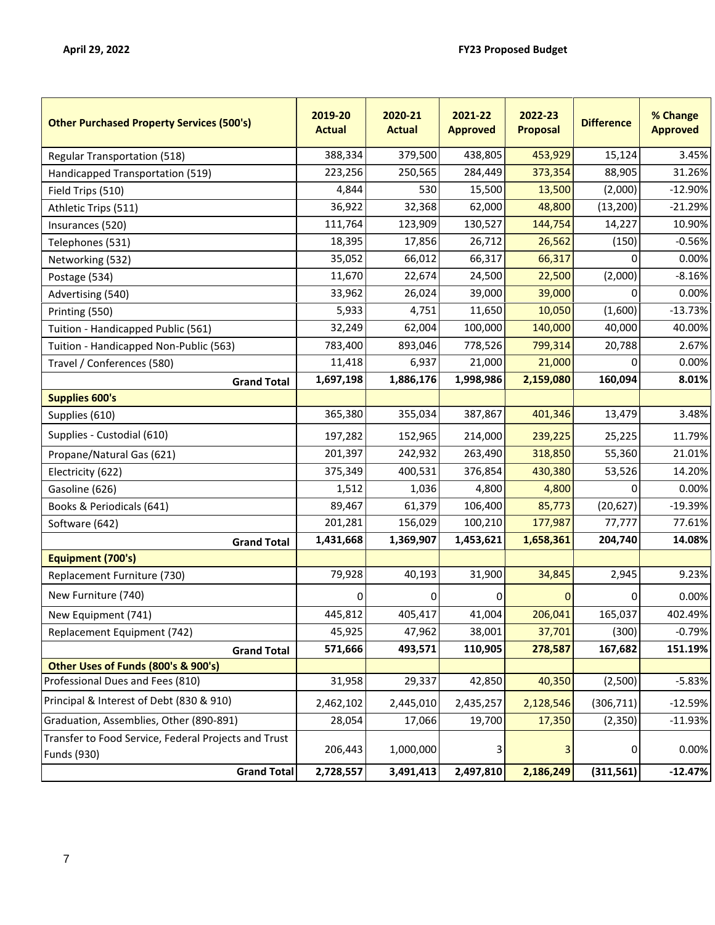| <b>Other Purchased Property Services (500's)</b>                           | 2019-20<br><b>Actual</b> | 2020-21<br><b>Actual</b> | 2021-22<br><b>Approved</b> | 2022-23<br><b>Proposal</b> | <b>Difference</b> | % Change<br><b>Approved</b> |
|----------------------------------------------------------------------------|--------------------------|--------------------------|----------------------------|----------------------------|-------------------|-----------------------------|
| <b>Regular Transportation (518)</b>                                        | 388,334                  | 379,500                  | 438,805                    | 453,929                    | 15,124            | 3.45%                       |
| Handicapped Transportation (519)                                           | 223,256                  | 250,565                  | 284,449                    | 373,354                    | 88,905            | 31.26%                      |
| Field Trips (510)                                                          | 4,844                    | 530                      | 15,500                     | 13,500                     | (2,000)           | $-12.90%$                   |
| Athletic Trips (511)                                                       | 36,922                   | 32,368                   | 62,000                     | 48,800                     | (13, 200)         | $-21.29%$                   |
| Insurances (520)                                                           | 111,764                  | 123,909                  | 130,527                    | 144,754                    | 14,227            | 10.90%                      |
| Telephones (531)                                                           | 18,395                   | 17,856                   | 26,712                     | 26,562                     | (150)             | $-0.56%$                    |
| Networking (532)                                                           | 35,052                   | 66,012                   | 66,317                     | 66,317                     | 0                 | 0.00%                       |
| Postage (534)                                                              | 11,670                   | 22,674                   | 24,500                     | 22,500                     | (2,000)           | $-8.16%$                    |
| Advertising (540)                                                          | 33,962                   | 26,024                   | 39,000                     | 39,000                     | 0                 | 0.00%                       |
| Printing (550)                                                             | 5,933                    | 4,751                    | 11,650                     | 10,050                     | (1,600)           | $-13.73%$                   |
| Tuition - Handicapped Public (561)                                         | 32,249                   | 62,004                   | 100,000                    | 140,000                    | 40,000            | 40.00%                      |
| Tuition - Handicapped Non-Public (563)                                     | 783,400                  | 893,046                  | 778,526                    | 799,314                    | 20,788            | 2.67%                       |
| Travel / Conferences (580)                                                 | 11,418                   | 6,937                    | 21,000                     | 21,000                     | 0                 | 0.00%                       |
| <b>Grand Total</b>                                                         | 1,697,198                | 1,886,176                | 1,998,986                  | 2,159,080                  | 160,094           | 8.01%                       |
| <b>Supplies 600's</b>                                                      |                          |                          |                            |                            |                   |                             |
| Supplies (610)                                                             | 365,380                  | 355,034                  | 387,867                    | 401,346                    | 13,479            | 3.48%                       |
| Supplies - Custodial (610)                                                 | 197,282                  | 152,965                  | 214,000                    | 239,225                    | 25,225            | 11.79%                      |
| Propane/Natural Gas (621)                                                  | 201,397                  | 242,932                  | 263,490                    | 318,850                    | 55,360            | 21.01%                      |
| Electricity (622)                                                          | 375,349                  | 400,531                  | 376,854                    | 430,380                    | 53,526            | 14.20%                      |
| Gasoline (626)                                                             | 1,512                    | 1,036                    | 4,800                      | 4,800                      | 0                 | 0.00%                       |
| Books & Periodicals (641)                                                  | 89,467                   | 61,379                   | 106,400                    | 85,773                     | (20, 627)         | $-19.39%$                   |
| Software (642)                                                             | 201,281                  | 156,029                  | 100,210                    | 177,987                    | 77,777            | 77.61%                      |
| <b>Grand Total</b>                                                         | 1,431,668                | 1,369,907                | 1,453,621                  | 1,658,361                  | 204,740           | 14.08%                      |
| Equipment (700's)                                                          |                          |                          |                            |                            |                   |                             |
| Replacement Furniture (730)                                                | 79,928                   | 40,193                   | 31,900                     | 34,845                     | 2,945             | 9.23%                       |
| New Furniture (740)                                                        | ი                        | 0                        | 0                          | $\Omega$                   | 0                 | 0.00%                       |
| New Equipment (741)                                                        | 445,812                  | 405,417                  | 41,004                     | 206,041                    | 165,037           | 402.49%                     |
| Replacement Equipment (742)                                                | 45,925                   | 47,962                   | 38,001                     | 37,701                     | (300)             | $-0.79%$                    |
| <b>Grand Total</b>                                                         | 571,666                  | 493,571                  | 110,905                    | 278,587                    | 167,682           | 151.19%                     |
| Other Uses of Funds (800's & 900's)                                        |                          |                          |                            |                            |                   |                             |
| Professional Dues and Fees (810)                                           | 31,958                   | 29,337                   | 42,850                     | 40,350                     | (2,500)           | $-5.83%$                    |
| Principal & Interest of Debt (830 & 910)                                   | 2,462,102                | 2,445,010                | 2,435,257                  | 2,128,546                  | (306, 711)        | $-12.59%$                   |
| Graduation, Assemblies, Other (890-891)                                    | 28,054                   | 17,066                   | 19,700                     | 17,350                     | (2,350)           | $-11.93%$                   |
| Transfer to Food Service, Federal Projects and Trust<br><b>Funds (930)</b> | 206,443                  | 1,000,000                | 3                          | 3                          | 0                 | 0.00%                       |
| <b>Grand Total</b>                                                         | 2,728,557                | 3,491,413                | 2,497,810                  | 2,186,249                  | (311, 561)        | $-12.47%$                   |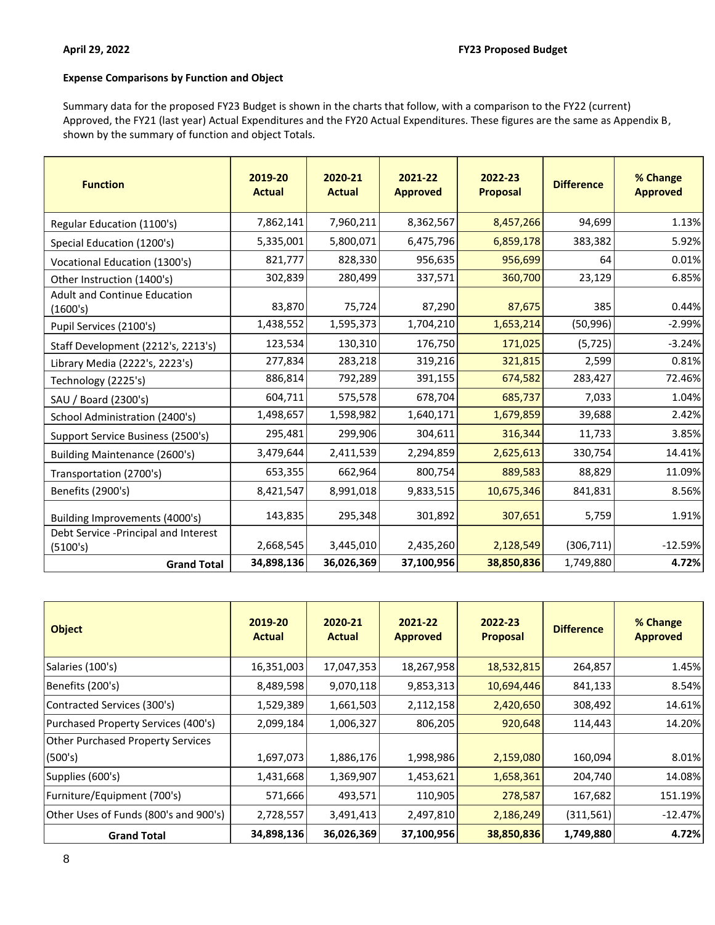#### **Expense Comparisons by Function and Object**

Summary data for the proposed FY23 Budget is shown in the charts that follow, with a comparison to the FY22 (current) Approved, the FY21 (last year) Actual Expenditures and the FY20 Actual Expenditures. These figures are the same as Appendix B, shown by the summary of function and object Totals.

| <b>Function</b>                                 | 2019-20<br><b>Actual</b> | 2020-21<br><b>Actual</b> | 2021-22<br><b>Approved</b> | 2022-23<br><b>Proposal</b> | <b>Difference</b> | % Change<br><b>Approved</b> |
|-------------------------------------------------|--------------------------|--------------------------|----------------------------|----------------------------|-------------------|-----------------------------|
| Regular Education (1100's)                      | 7,862,141                | 7,960,211                | 8,362,567                  | 8,457,266                  | 94,699            | 1.13%                       |
| Special Education (1200's)                      | 5,335,001                | 5,800,071                | 6,475,796                  | 6,859,178                  | 383,382           | 5.92%                       |
| Vocational Education (1300's)                   | 821,777                  | 828,330                  | 956,635                    | 956,699                    | 64                | 0.01%                       |
| Other Instruction (1400's)                      | 302,839                  | 280,499                  | 337,571                    | 360,700                    | 23,129            | 6.85%                       |
| <b>Adult and Continue Education</b><br>(1600's) | 83,870                   | 75,724                   | 87,290                     | 87,675                     | 385               | 0.44%                       |
| Pupil Services (2100's)                         | 1,438,552                | 1,595,373                | 1,704,210                  | 1,653,214                  | (50, 996)         | $-2.99%$                    |
| Staff Development (2212's, 2213's)              | 123,534                  | 130,310                  | 176,750                    | 171,025                    | (5, 725)          | $-3.24%$                    |
| Library Media (2222's, 2223's)                  | 277,834                  | 283,218                  | 319,216                    | 321,815                    | 2,599             | 0.81%                       |
| Technology (2225's)                             | 886,814                  | 792,289                  | 391,155                    | 674,582                    | 283,427           | 72.46%                      |
| SAU / Board (2300's)                            | 604,711                  | 575,578                  | 678,704                    | 685,737                    | 7,033             | 1.04%                       |
| School Administration (2400's)                  | 1,498,657                | 1,598,982                | 1,640,171                  | 1,679,859                  | 39,688            | 2.42%                       |
| Support Service Business (2500's)               | 295,481                  | 299,906                  | 304,611                    | 316,344                    | 11,733            | 3.85%                       |
| Building Maintenance (2600's)                   | 3,479,644                | 2,411,539                | 2,294,859                  | 2,625,613                  | 330,754           | 14.41%                      |
| Transportation (2700's)                         | 653,355                  | 662,964                  | 800,754                    | 889,583                    | 88,829            | 11.09%                      |
| Benefits (2900's)                               | 8,421,547                | 8,991,018                | 9,833,515                  | 10,675,346                 | 841,831           | 8.56%                       |
| Building Improvements (4000's)                  | 143,835                  | 295,348                  | 301,892                    | 307,651                    | 5,759             | 1.91%                       |
| Debt Service - Principal and Interest           | 2,668,545                | 3,445,010                | 2,435,260                  | 2,128,549                  |                   | $-12.59%$                   |
| (5100's)                                        |                          |                          |                            |                            | (306, 711)        |                             |
| <b>Grand Total</b>                              | 34,898,136               | 36,026,369               | 37,100,956                 | 38,850,836                 | 1,749,880         | 4.72%                       |

| <b>Object</b>                         | 2019-20<br><b>Actual</b> | 2020-21<br><b>Actual</b> | 2021-22<br><b>Approved</b> | 2022-23<br><b>Proposal</b> | <b>Difference</b> | % Change<br><b>Approved</b> |
|---------------------------------------|--------------------------|--------------------------|----------------------------|----------------------------|-------------------|-----------------------------|
| Salaries (100's)                      | 16,351,003               | 17,047,353               | 18,267,958                 | 18,532,815                 | 264,857           | 1.45%                       |
| Benefits (200's)                      | 8,489,598                | 9,070,118                | 9,853,313                  | 10,694,446                 | 841,133           | 8.54%                       |
| Contracted Services (300's)           | 1,529,389                | 1,661,503                | 2,112,158                  | 2,420,650                  | 308,492           | 14.61%                      |
| Purchased Property Services (400's)   | 2,099,184                | 1,006,327                | 806,205                    | 920,648                    | 114,443           | 14.20%                      |
| Other Purchased Property Services     |                          |                          |                            |                            |                   |                             |
| (500's)                               | 1,697,073                | 1,886,176                | 1,998,986                  | 2,159,080                  | 160,094           | 8.01%                       |
| Supplies (600's)                      | 1,431,668                | 1,369,907                | 1,453,621                  | 1,658,361                  | 204,740           | 14.08%                      |
| Furniture/Equipment (700's)           | 571,666                  | 493,571                  | 110,905                    | 278,587                    | 167,682           | 151.19%                     |
| Other Uses of Funds (800's and 900's) | 2,728,557                | 3,491,413                | 2,497,810                  | 2,186,249                  | (311,561)         | $-12.47%$                   |
| <b>Grand Total</b>                    | 34,898,136               | 36,026,369               | 37,100,956                 | 38,850,836                 | 1,749,880         | 4.72%                       |